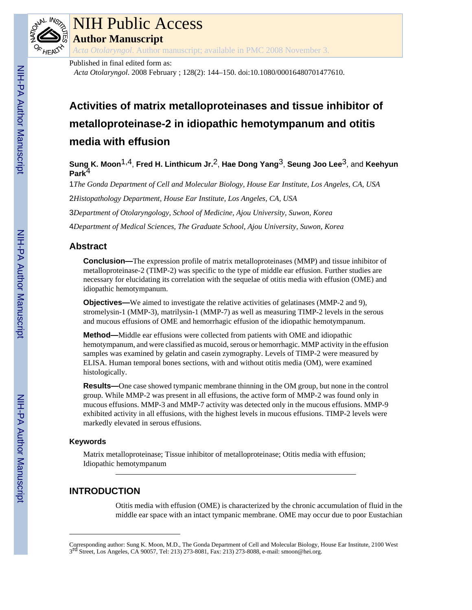

# NIH Public Access

**Author Manuscript**

*Acta Otolaryngol*. Author manuscript; available in PMC 2008 November 3.

Published in final edited form as:

*Acta Otolaryngol*. 2008 February ; 128(2): 144–150. doi:10.1080/00016480701477610.

# **Activities of matrix metalloproteinases and tissue inhibitor of metalloproteinase-2 in idiopathic hemotympanum and otitis media with effusion**

**Sung K. Moon**1,4, **Fred H. Linthicum Jr.**2, **Hae Dong Yang**3, **Seung Joo Lee**3, and **Keehyun Park**4

1*The Gonda Department of Cell and Molecular Biology, House Ear Institute, Los Angeles, CA, USA*

2*Histopathology Department, House Ear Institute, Los Angeles, CA, USA*

3*Department of Otolaryngology, School of Medicine, Ajou University, Suwon, Korea*

4*Department of Medical Sciences, The Graduate School, Ajou University, Suwon, Korea*

# **Abstract**

**Conclusion—**The expression profile of matrix metalloproteinases (MMP) and tissue inhibitor of metalloproteinase-2 (TIMP-2) was specific to the type of middle ear effusion. Further studies are necessary for elucidating its correlation with the sequelae of otitis media with effusion (OME) and idiopathic hemotympanum.

**Objectives—**We aimed to investigate the relative activities of gelatinases (MMP-2 and 9), stromelysin-1 (MMP-3), matrilysin-1 (MMP-7) as well as measuring TIMP-2 levels in the serous and mucous effusions of OME and hemorrhagic effusion of the idiopathic hemotympanum.

**Method—**Middle ear effusions were collected from patients with OME and idiopathic hemotympanum, and were classified as mucoid, serous or hemorrhagic. MMP activity in the effusion samples was examined by gelatin and casein zymography. Levels of TIMP-2 were measured by ELISA. Human temporal bones sections, with and without otitis media (OM), were examined histologically.

**Results—**One case showed tympanic membrane thinning in the OM group, but none in the control group. While MMP-2 was present in all effusions, the active form of MMP-2 was found only in mucous effusions. MMP-3 and MMP-7 activity was detected only in the mucous effusions. MMP-9 exhibited activity in all effusions, with the highest levels in mucous effusions. TIMP-2 levels were markedly elevated in serous effusions.

# **Keywords**

Matrix metalloproteinase; Tissue inhibitor of metalloproteinase; Otitis media with effusion; Idiopathic hemotympanum

# **INTRODUCTION**

Otitis media with effusion (OME) is characterized by the chronic accumulation of fluid in the middle ear space with an intact tympanic membrane. OME may occur due to poor Eustachian

Corresponding author: Sung K. Moon, M.D., The Gonda Department of Cell and Molecular Biology, House Ear Institute, 2100 West 3 rd Street, Los Angeles, CA 90057, Tel: 213) 273-8081, Fax: 213) 273-8088, e-mail: smoon@hei.org.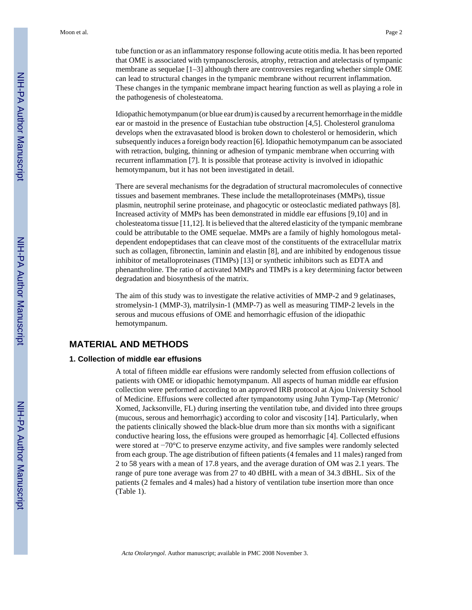tube function or as an inflammatory response following acute otitis media. It has been reported that OME is associated with tympanosclerosis, atrophy, retraction and atelectasis of tympanic membrane as sequelae [1–3] although there are controversies regarding whether simple OME can lead to structural changes in the tympanic membrane without recurrent inflammation. These changes in the tympanic membrane impact hearing function as well as playing a role in the pathogenesis of cholesteatoma.

Idiopathic hemotympanum (or blue ear drum) is caused by a recurrent hemorrhage in the middle ear or mastoid in the presence of Eustachian tube obstruction [4,5]. Cholesterol granuloma develops when the extravasated blood is broken down to cholesterol or hemosiderin, which subsequently induces a foreign body reaction [6]. Idiopathic hemotympanum can be associated with retraction, bulging, thinning or adhesion of tympanic membrane when occurring with recurrent inflammation [7]. It is possible that protease activity is involved in idiopathic hemotympanum, but it has not been investigated in detail.

There are several mechanisms for the degradation of structural macromolecules of connective tissues and basement membranes. These include the metalloproteinases (MMPs), tissue plasmin, neutrophil serine proteinase, and phagocytic or osteoclastic mediated pathways [8]. Increased activity of MMPs has been demonstrated in middle ear effusions [9,10] and in cholesteatoma tissue [11,12]. It is believed that the altered elasticity of the tympanic membrane could be attributable to the OME sequelae. MMPs are a family of highly homologous metaldependent endopeptidases that can cleave most of the constituents of the extracellular matrix such as collagen, fibronectin, laminin and elastin [8], and are inhibited by endogenous tissue inhibitor of metalloproteinases (TIMPs) [13] or synthetic inhibitors such as EDTA and phenanthroline. The ratio of activated MMPs and TIMPs is a key determining factor between degradation and biosynthesis of the matrix.

The aim of this study was to investigate the relative activities of MMP-2 and 9 gelatinases, stromelysin-1 (MMP-3), matrilysin-1 (MMP-7) as well as measuring TIMP-2 levels in the serous and mucous effusions of OME and hemorrhagic effusion of the idiopathic hemotympanum.

# **MATERIAL AND METHODS**

#### **1. Collection of middle ear effusions**

A total of fifteen middle ear effusions were randomly selected from effusion collections of patients with OME or idiopathic hemotympanum. All aspects of human middle ear effusion collection were performed according to an approved IRB protocol at Ajou University School of Medicine. Effusions were collected after tympanotomy using Juhn Tymp-Tap (Metronic/ Xomed, Jacksonville, FL) during inserting the ventilation tube, and divided into three groups (mucous, serous and hemorrhagic) according to color and viscosity [14]. Particularly, when the patients clinically showed the black-blue drum more than six months with a significant conductive hearing loss, the effusions were grouped as hemorrhagic [4]. Collected effusions were stored at −70°C to preserve enzyme activity, and five samples were randomly selected from each group. The age distribution of fifteen patients (4 females and 11 males) ranged from 2 to 58 years with a mean of 17.8 years, and the average duration of OM was 2.1 years. The range of pure tone average was from 27 to 40 dBHL with a mean of 34.3 dBHL. Six of the patients (2 females and 4 males) had a history of ventilation tube insertion more than once (Table 1).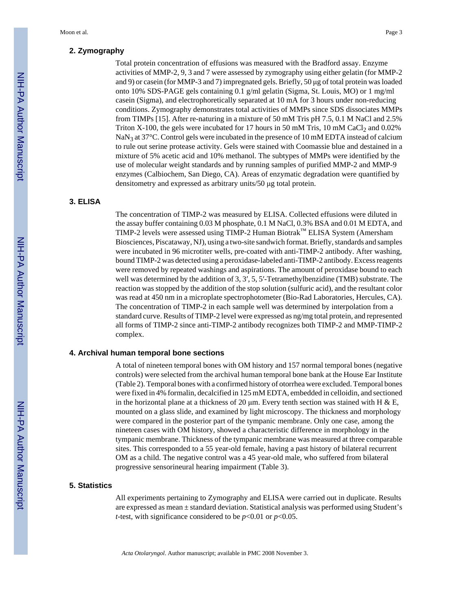# **2. Zymography**

Total protein concentration of effusions was measured with the Bradford assay. Enzyme activities of MMP-2, 9, 3 and 7 were assessed by zymography using either gelatin (for MMP-2 and 9) or casein (for MMP-3 and 7) impregnated gels. Briefly, 50 μg of total protein was loaded onto 10% SDS-PAGE gels containing 0.1 g/ml gelatin (Sigma, St. Louis, MO) or 1 mg/ml casein (Sigma), and electrophoretically separated at 10 mA for 3 hours under non-reducing conditions. Zymography demonstrates total activities of MMPs since SDS dissociates MMPs from TIMPs [15]. After re-naturing in a mixture of 50 mM Tris pH 7.5, 0.1 M NaCl and 2.5% Triton X-100, the gels were incubated for 17 hours in 50 mM Tris, 10 mM CaCl<sub>2</sub> and 0.02% NaN<sub>3</sub> at 37°C. Control gels were incubated in the presence of 10 mM EDTA instead of calcium to rule out serine protease activity. Gels were stained with Coomassie blue and destained in a mixture of 5% acetic acid and 10% methanol. The subtypes of MMPs were identified by the use of molecular weight standards and by running samples of purified MMP-2 and MMP-9 enzymes (Calbiochem, San Diego, CA). Areas of enzymatic degradation were quantified by densitometry and expressed as arbitrary units/50 μg total protein.

#### **3. ELISA**

The concentration of TIMP-2 was measured by ELISA. Collected effusions were diluted in the assay buffer containing 0.03 M phosphate, 0.1 M NaCl, 0.3% BSA and 0.01 M EDTA, and TIMP-2 levels were assessed using TIMP-2 Human Biotrak™ ELISA System (Amersham Biosciences, Piscataway, NJ), using a two-site sandwich format. Briefly, standards and samples were incubated in 96 microtiter wells, pre-coated with anti-TIMP-2 antibody. After washing, bound TIMP-2 was detected using a peroxidase-labeled anti-TIMP-2 antibody. Excess reagents were removed by repeated washings and aspirations. The amount of peroxidase bound to each well was determined by the addition of 3, 3', 5, 5'-Tetramethylbenzidine (TMB) substrate. The reaction was stopped by the addition of the stop solution (sulfuric acid), and the resultant color was read at 450 nm in a microplate spectrophotometer (Bio-Rad Laboratories, Hercules, CA). The concentration of TIMP-2 in each sample well was determined by interpolation from a standard curve. Results of TIMP-2 level were expressed as ng/mg total protein, and represented all forms of TIMP-2 since anti-TIMP-2 antibody recognizes both TIMP-2 and MMP-TIMP-2 complex.

#### **4. Archival human temporal bone sections**

A total of nineteen temporal bones with OM history and 157 normal temporal bones (negative controls) were selected from the archival human temporal bone bank at the House Ear Institute (Table 2). Temporal bones with a confirmed history of otorrhea were excluded. Temporal bones were fixed in 4% formalin, decalcified in 125 mM EDTA, embedded in celloidin, and sectioned in the horizontal plane at a thickness of 20  $\mu$ m. Every tenth section was stained with H & E, mounted on a glass slide, and examined by light microscopy. The thickness and morphology were compared in the posterior part of the tympanic membrane. Only one case, among the nineteen cases with OM history, showed a characteristic difference in morphology in the tympanic membrane. Thickness of the tympanic membrane was measured at three comparable sites. This corresponded to a 55 year-old female, having a past history of bilateral recurrent OM as a child. The negative control was a 45 year-old male, who suffered from bilateral progressive sensorineural hearing impairment (Table 3).

#### **5. Statistics**

All experiments pertaining to Zymography and ELISA were carried out in duplicate. Results are expressed as mean  $\pm$  standard deviation. Statistical analysis was performed using Student's *t*-test, with significance considered to be *p*<0.01 or *p*<0.05.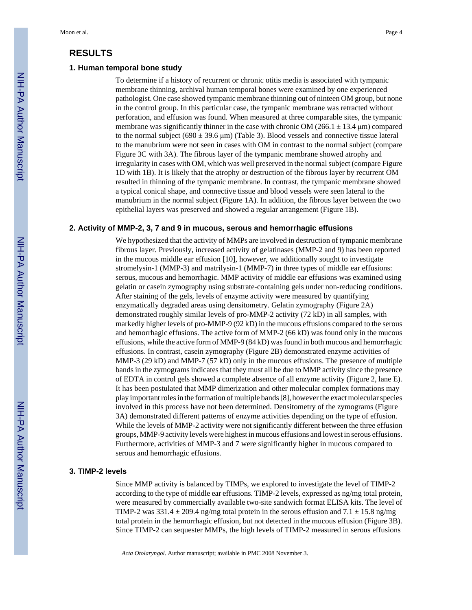# **RESULTS**

#### **1. Human temporal bone study**

To determine if a history of recurrent or chronic otitis media is associated with tympanic membrane thinning, archival human temporal bones were examined by one experienced pathologist. One case showed tympanic membrane thinning out of ninteen OM group, but none in the control group. In this particular case, the tympanic membrane was retracted without perforation, and effusion was found. When measured at three comparable sites, the tympanic membrane was significantly thinner in the case with chronic OM (266.1  $\pm$  13.4 µm) compared to the normal subject (690  $\pm$  39.6 µm) (Table 3). Blood vessels and connective tissue lateral to the manubrium were not seen in cases with OM in contrast to the normal subject (compare Figure 3C with 3A). The fibrous layer of the tympanic membrane showed atrophy and irregularity in cases with OM, which was well preserved in the normal subject (compare Figure 1D with 1B). It is likely that the atrophy or destruction of the fibrous layer by recurrent OM resulted in thinning of the tympanic membrane. In contrast, the tympanic membrane showed a typical conical shape, and connective tissue and blood vessels were seen lateral to the manubrium in the normal subject (Figure 1A). In addition, the fibrous layer between the two epithelial layers was preserved and showed a regular arrangement (Figure 1B).

#### **2. Activity of MMP-2, 3, 7 and 9 in mucous, serous and hemorrhagic effusions**

We hypothesized that the activity of MMPs are involved in destruction of tympanic membrane fibrous layer. Previously, increased activity of gelatinases (MMP-2 and 9) has been reported in the mucous middle ear effusion [10], however, we additionally sought to investigate stromelysin-1 (MMP-3) and matrilysin-1 (MMP-7) in three types of middle ear effusions: serous, mucous and hemorrhagic. MMP activity of middle ear effusions was examined using gelatin or casein zymography using substrate-containing gels under non-reducing conditions. After staining of the gels, levels of enzyme activity were measured by quantifying enzymatically degraded areas using densitometry. Gelatin zymography (Figure 2A) demonstrated roughly similar levels of pro-MMP-2 activity (72 kD) in all samples, with markedly higher levels of pro-MMP-9 (92 kD) in the mucous effusions compared to the serous and hemorrhagic effusions. The active form of MMP-2 (66 kD) was found only in the mucous effusions, while the active form of MMP-9 (84 kD) was found in both mucous and hemorrhagic effusions. In contrast, casein zymography (Figure 2B) demonstrated enzyme activities of MMP-3 (29 kD) and MMP-7 (57 kD) only in the mucous effusions. The presence of multiple bands in the zymograms indicates that they must all be due to MMP activity since the presence of EDTA in control gels showed a complete absence of all enzyme activity (Figure 2, lane E). It has been postulated that MMP dimerization and other molecular complex formations may play important roles in the formation of multiple bands [8], however the exact molecular species involved in this process have not been determined. Densitometry of the zymograms (Figure 3A) demonstrated different patterns of enzyme activities depending on the type of effusion. While the levels of MMP-2 activity were not significantly different between the three effusion groups, MMP-9 activity levels were highest in mucous effusions and lowest in serous effusions. Furthermore, activities of MMP-3 and 7 were significantly higher in mucous compared to serous and hemorrhagic effusions.

#### **3. TIMP-2 levels**

Since MMP activity is balanced by TIMPs, we explored to investigate the level of TIMP-2 according to the type of middle ear effusions. TIMP-2 levels, expressed as ng/mg total protein, were measured by commercially available two-site sandwich format ELISA kits. The level of TIMP-2 was  $331.4 \pm 209.4$  ng/mg total protein in the serous effusion and  $7.1 \pm 15.8$  ng/mg total protein in the hemorrhagic effusion, but not detected in the mucous effusion (Figure 3B). Since TIMP-2 can sequester MMPs, the high levels of TIMP-2 measured in serous effusions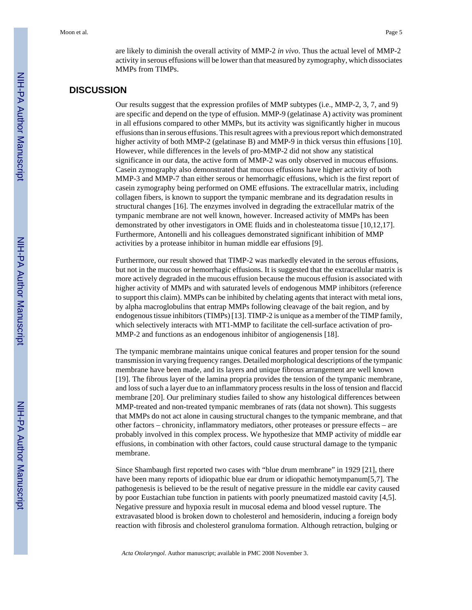are likely to diminish the overall activity of MMP-2 *in vivo*. Thus the actual level of MMP-2 activity in serous effusions will be lower than that measured by zymography, which dissociates MMPs from TIMPs.

# **DISCUSSION**

Our results suggest that the expression profiles of MMP subtypes (i.e., MMP-2, 3, 7, and 9) are specific and depend on the type of effusion. MMP-9 (gelatinase A) activity was prominent in all effusions compared to other MMPs, but its activity was significantly higher in mucous effusions than in serous effusions. This result agrees with a previous report which demonstrated higher activity of both MMP-2 (gelatinase B) and MMP-9 in thick versus thin effusions [10]. However, while differences in the levels of pro-MMP-2 did not show any statistical significance in our data, the active form of MMP-2 was only observed in mucous effusions. Casein zymography also demonstrated that mucous effusions have higher activity of both MMP-3 and MMP-7 than either serous or hemorrhagic effusions, which is the first report of casein zymography being performed on OME effusions. The extracellular matrix, including collagen fibers, is known to support the tympanic membrane and its degradation results in structural changes [16]. The enzymes involved in degrading the extracellular matrix of the tympanic membrane are not well known, however. Increased activity of MMPs has been demonstrated by other investigators in OME fluids and in cholesteatoma tissue [10,12,17]. Furthermore, Antonelli and his colleagues demonstrated significant inhibition of MMP activities by a protease inhibitor in human middle ear effusions [9].

Furthermore, our result showed that TIMP-2 was markedly elevated in the serous effusions, but not in the mucous or hemorrhagic effusions. It is suggested that the extracellular matrix is more actively degraded in the mucous effusion because the mucous effusion is associated with higher activity of MMPs and with saturated levels of endogenous MMP inhibitors (reference to support this claim). MMPs can be inhibited by chelating agents that interact with metal ions, by alpha macroglobulins that entrap MMPs following cleavage of the bait region, and by endogenous tissue inhibitors (TIMPs) [13]. TIMP-2 is unique as a member of the TIMP family, which selectively interacts with MT1-MMP to facilitate the cell-surface activation of pro-MMP-2 and functions as an endogenous inhibitor of angiogenensis [18].

The tympanic membrane maintains unique conical features and proper tension for the sound transmission in varying frequency ranges. Detailed morphological descriptions of the tympanic membrane have been made, and its layers and unique fibrous arrangement are well known [19]. The fibrous layer of the lamina propria provides the tension of the tympanic membrane, and loss of such a layer due to an inflammatory process results in the loss of tension and flaccid membrane [20]. Our preliminary studies failed to show any histological differences between MMP-treated and non-treated tympanic membranes of rats (data not shown). This suggests that MMPs do not act alone in causing structural changes to the tympanic membrane, and that other factors – chronicity, inflammatory mediators, other proteases or pressure effects – are probably involved in this complex process. We hypothesize that MMP activity of middle ear effusions, in combination with other factors, could cause structural damage to the tympanic membrane.

Since Shambaugh first reported two cases with "blue drum membrane" in 1929 [21], there have been many reports of idiopathic blue ear drum or idiopathic hemotympanum[5,7]. The pathogenesis is believed to be the result of negative pressure in the middle ear cavity caused by poor Eustachian tube function in patients with poorly pneumatized mastoid cavity [4,5]. Negative pressure and hypoxia result in mucosal edema and blood vessel rupture. The extravasated blood is broken down to cholesterol and hemosiderin, inducing a foreign body reaction with fibrosis and cholesterol granuloma formation. Although retraction, bulging or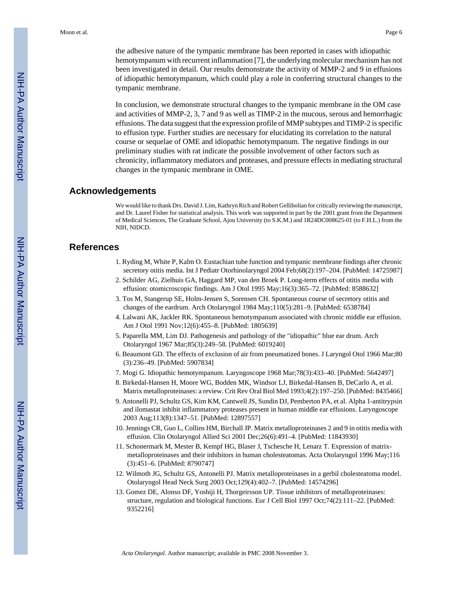the adhesive nature of the tympanic membrane has been reported in cases with idiopathic hemotympanum with recurrent inflammation [7], the underlying molecular mechanism has not been investigated in detail. Our results demonstrate the activity of MMP-2 and 9 in effusions of idiopathic hemotympanum, which could play a role in conferring structural changes to the tympanic membrane.

In conclusion, we demonstrate structural changes to the tympanic membrane in the OM case and activities of MMP-2, 3, 7 and 9 as well as TIMP-2 in the mucous, serous and hemorrhagic effusions. The data suggest that the expression profile of MMP subtypes and TIMP-2 is specific to effusion type. Further studies are necessary for elucidating its correlation to the natural course or sequelae of OME and idiopathic hemotympanum. The negative findings in our preliminary studies with rat indicate the possible involvement of other factors such as chronicity, inflammatory mediators and proteases, and pressure effects in mediating structural changes in the tympanic membrane in OME.

### **Acknowledgements**

We would like to thank Drs. David J. Lim, Kathryn Rich and Robert Gellibolian for critically reviewing the manuscript, and Dr. Laurel Fisher for statistical analysis. This work was supported in part by the 2001 grant from the Department of Medical Sciences, The Graduate School, Ajou University (to S.K.M.) and 1R24DC008625-01 (to F.H.L.) from the NIH, NIDCD.

# **References**

- 1. Ryding M, White P, Kalm O. Eustachian tube function and tympanic membrane findings after chronic secretory otitis media. Int J Pediatr Otorhinolaryngol 2004 Feb;68(2):197–204. [PubMed: 14725987]
- 2. Schilder AG, Zielhuis GA, Haggard MP, van den Broek P. Long-term effects of otitis media with effusion: otomicroscopic findings. Am J Otol 1995 May;16(3):365–72. [PubMed: 8588632]
- 3. Tos M, Stangerup SE, Holm-Jensen S, Sorensen CH. Spontaneous course of secretory otitis and changes of the eardrum. Arch Otolaryngol 1984 May;110(5):281–9. [PubMed: 6538784]
- 4. Lalwani AK, Jackler RK. Spontaneous hemotympanum associated with chronic middle ear effusion. Am J Otol 1991 Nov;12(6):455–8. [PubMed: 1805639]
- 5. Paparella MM, Lim DJ. Pathogenesis and pathology of the "idiopathic" blue ear drum. Arch Otolaryngol 1967 Mar;85(3):249–58. [PubMed: 6019240]
- 6. Beaumont GD. The effects of exclusion of air from pneumatized bones. J Laryngol Otol 1966 Mar;80 (3):236–49. [PubMed: 5907834]
- 7. Mogi G. Idiopathic hemotympanum. Laryngoscope 1968 Mar;78(3):433–40. [PubMed: 5642497]
- 8. Birkedal-Hansen H, Moore WG, Bodden MK, Windsor LJ, Birkedal-Hansen B, DeCarlo A, et al. Matrix metalloproteinases: a review. Crit Rev Oral Biol Med 1993;4(2):197–250. [PubMed: 8435466]
- 9. Antonelli PJ, Schultz GS, Kim KM, Cantwell JS, Sundin DJ, Pemberton PA, et al. Alpha 1-antitrypsin and ilomastat inhibit inflammatory proteases present in human middle ear effusions. Laryngoscope 2003 Aug;113(8):1347–51. [PubMed: 12897557]
- 10. Jennings CR, Guo L, Collins HM, Birchall JP. Matrix metalloproteinases 2 and 9 in otitis media with effusion. Clin Otolaryngol Allied Sci 2001 Dec;26(6):491–4. [PubMed: 11843930]
- 11. Schonermark M, Mester B, Kempf HG, Blaser J, Tschesche H, Lenarz T. Expression of matrixmetalloproteinases and their inhibitors in human cholesteatomas. Acta Otolaryngol 1996 May;116 (3):451–6. [PubMed: 8790747]
- 12. Wilmoth JG, Schultz GS, Antonelli PJ. Matrix metalloproteinases in a gerbil cholesteatoma model. Otolaryngol Head Neck Surg 2003 Oct;129(4):402–7. [PubMed: 14574296]
- 13. Gomez DE, Alonso DF, Yoshiji H, Thorgeirsson UP. Tissue inhibitors of metalloproteinases: structure, regulation and biological functions. Eur J Cell Biol 1997 Oct;74(2):111–22. [PubMed: 9352216]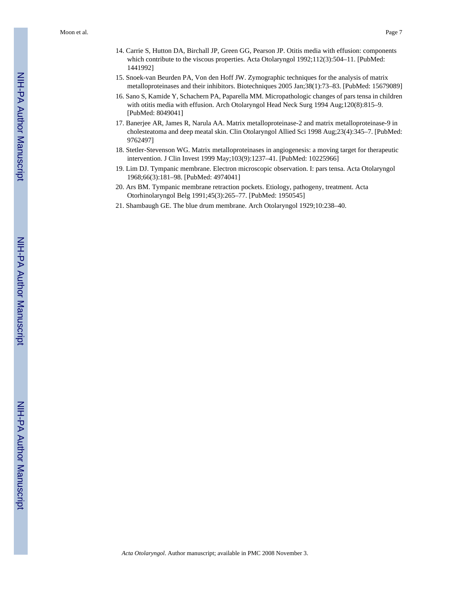- 14. Carrie S, Hutton DA, Birchall JP, Green GG, Pearson JP. Otitis media with effusion: components which contribute to the viscous properties. Acta Otolaryngol 1992;112(3):504-11. [PubMed: 1441992]
- 15. Snoek-van Beurden PA, Von den Hoff JW. Zymographic techniques for the analysis of matrix metalloproteinases and their inhibitors. Biotechniques 2005 Jan;38(1):73–83. [PubMed: 15679089]
- 16. Sano S, Kamide Y, Schachern PA, Paparella MM. Micropathologic changes of pars tensa in children with otitis media with effusion. Arch Otolaryngol Head Neck Surg 1994 Aug;120(8):815–9. [PubMed: 8049041]
- 17. Banerjee AR, James R, Narula AA. Matrix metalloproteinase-2 and matrix metalloproteinase-9 in cholesteatoma and deep meatal skin. Clin Otolaryngol Allied Sci 1998 Aug;23(4):345–7. [PubMed: 9762497]
- 18. Stetler-Stevenson WG. Matrix metalloproteinases in angiogenesis: a moving target for therapeutic intervention. J Clin Invest 1999 May;103(9):1237–41. [PubMed: 10225966]
- 19. Lim DJ. Tympanic membrane. Electron microscopic observation. I: pars tensa. Acta Otolaryngol 1968;66(3):181–98. [PubMed: 4974041]
- 20. Ars BM. Tympanic membrane retraction pockets. Etiology, pathogeny, treatment. Acta Otorhinolaryngol Belg 1991;45(3):265–77. [PubMed: 1950545]
- 21. Shambaugh GE. The blue drum membrane. Arch Otolaryngol 1929;10:238–40.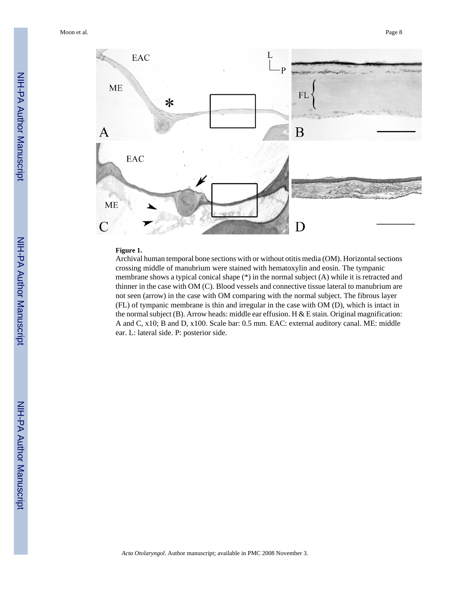

#### **Figure 1.**

Archival human temporal bone sections with or without otitis media (OM). Horizontal sections crossing middle of manubrium were stained with hematoxylin and eosin. The tympanic membrane shows a typical conical shape (\*) in the normal subject (A) while it is retracted and thinner in the case with OM (C). Blood vessels and connective tissue lateral to manubrium are not seen (arrow) in the case with OM comparing with the normal subject. The fibrous layer (FL) of tympanic membrane is thin and irregular in the case with OM (D), which is intact in the normal subject (B). Arrow heads: middle ear effusion. H & E stain. Original magnification: A and C, x10; B and D, x100. Scale bar: 0.5 mm. EAC: external auditory canal. ME: middle ear. L: lateral side. P: posterior side.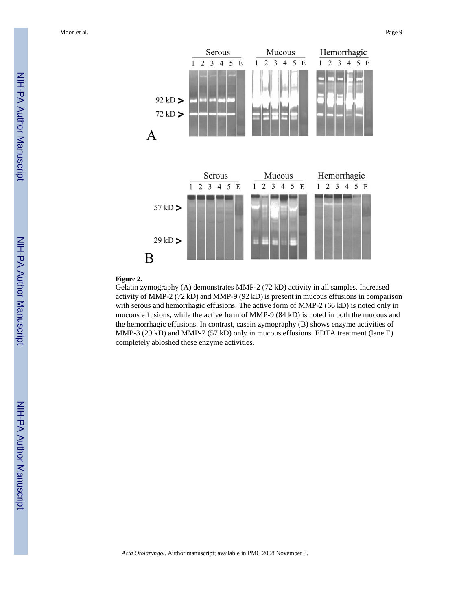Moon et al. Page 9



#### **Figure 2.**

Gelatin zymography (A) demonstrates MMP-2 (72 kD) activity in all samples. Increased activity of MMP-2 (72 kD) and MMP-9 (92 kD) is present in mucous effusions in comparison with serous and hemorrhagic effusions. The active form of MMP-2 (66 kD) is noted only in mucous effusions, while the active form of MMP-9 (84 kD) is noted in both the mucous and the hemorrhagic effusions. In contrast, casein zymography (B) shows enzyme activities of MMP-3 (29 kD) and MMP-7 (57 kD) only in mucous effusions. EDTA treatment (lane E) completely abloshed these enzyme activities.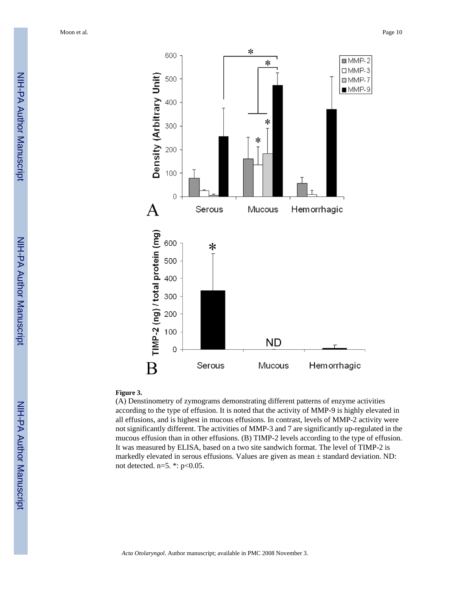

#### **Figure 3.**

(A) Denstinometry of zymograms demonstrating different patterns of enzyme activities according to the type of effusion. It is noted that the activity of MMP-9 is highly elevated in all effusions, and is highest in mucous effusions. In contrast, levels of MMP-2 activity were not significantly different. The activities of MMP-3 and 7 are significantly up-regulated in the mucous effusion than in other effusions. (B) TIMP-2 levels according to the type of effusion. It was measured by ELISA, based on a two site sandwich format. The level of TIMP-2 is markedly elevated in serous effusions. Values are given as mean ± standard deviation. ND: not detected. n=5. \*: p<0.05.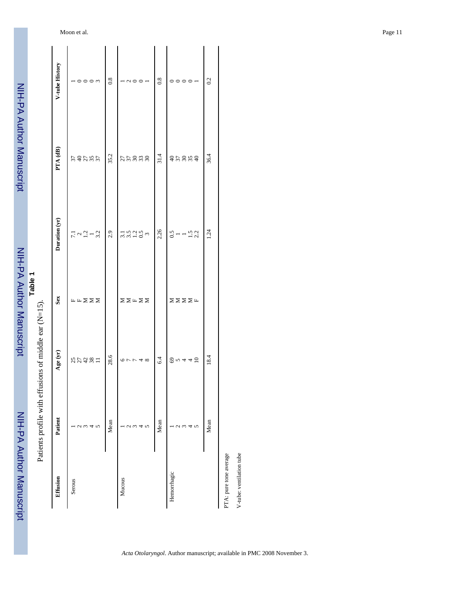|                        | Patients profile with effu | usions of middle ear $(N=15)$ . |                                                          |                          |          |                                                                       |
|------------------------|----------------------------|---------------------------------|----------------------------------------------------------|--------------------------|----------|-----------------------------------------------------------------------|
| Effusion               | Patient                    | Age (yr)                        | Sex                                                      | Duration (yr)            | PTA (dB) | V-tube History                                                        |
| Serous                 |                            |                                 |                                                          |                          |          |                                                                       |
|                        | J.                         | 35481                           | $\mathbb{H} \; \mathbb{H} \; \Sigma \; \Sigma \; \Sigma$ | $7.1$<br>$1.2$<br>$-3.2$ | 542555   | $\overline{\phantom{a}}$ 000 $\overline{\phantom{a}}$                 |
|                        | $\infty$                   |                                 |                                                          |                          |          |                                                                       |
|                        | 4                          |                                 |                                                          |                          |          |                                                                       |
|                        | $\sqrt{2}$                 |                                 |                                                          |                          |          |                                                                       |
|                        | Mean                       | 28.6                            |                                                          | 2.9                      | 35.2     | 0.8                                                                   |
| Mucous                 |                            |                                 |                                                          |                          |          |                                                                       |
|                        |                            | $\sigma \vdash \vdash 4 \infty$ | ZZHZZ                                                    | 3.5928020                | 55888    | $000 -$                                                               |
|                        | 1 W                        |                                 |                                                          |                          |          |                                                                       |
|                        |                            |                                 |                                                          |                          |          |                                                                       |
|                        | $\sqrt{2}$                 |                                 |                                                          |                          |          |                                                                       |
|                        | Mean                       | 6.4                             |                                                          | 2.26                     | 31.4     | 0.8                                                                   |
| Hemorrhagic            |                            |                                 |                                                          |                          |          |                                                                       |
|                        |                            | 80442                           | <b>ZZZZL</b>                                             | $3 - 152$                |          | $\circ \circ \circ \circ \mathord{\hspace{1pt}\text{--}\hspace{1pt}}$ |
|                        | 3                          |                                 |                                                          |                          |          |                                                                       |
|                        | 4                          |                                 |                                                          |                          |          |                                                                       |
|                        | $\mathbf{v}$               |                                 |                                                          |                          |          |                                                                       |
|                        | Mean                       | 18.4                            |                                                          | 1.24                     | 36.4     | 0.2                                                                   |
| PTA: pure tone average |                            |                                 |                                                          |                          |          |                                                                       |

*Acta Otolaryngol*. Author manuscript; available in PMC 2008 November 3.

V-tube: ventilation tube

V-tube: ventilation tube

Moon et al. Page 11

NIH-PA Author Manuscript

NIH-PA Author Manuscript

NIH-PA Author Manuscript

NIH-PA Author Manuscript

**Table 1**

NIH-PA Author Manuscript

NIH-PA Author Manuscript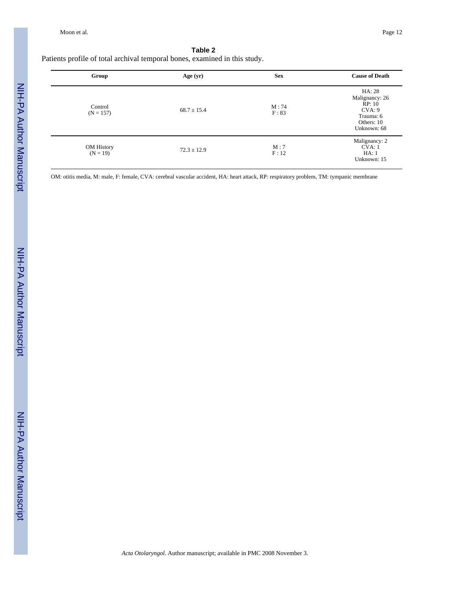#### **Table 2**

Patients profile of total archival temporal bones, examined in this study.

| Group                    | Age (yr)        | <b>Sex</b>    | <b>Cause of Death</b>                                                                  |
|--------------------------|-----------------|---------------|----------------------------------------------------------------------------------------|
| Control<br>$(N = 157)$   | $68.7 \pm 15.4$ | M:74<br>F: 83 | HA: 28<br>Malignancy: 26<br>RP: 10<br>CVA: 9<br>Trauma: 6<br>Others: 10<br>Unknown: 68 |
| OM History<br>$(N = 19)$ | $72.3 \pm 12.9$ | M:7<br>F:12   | Malignancy: 2<br>CVA:1<br>HA:1<br>Unknown: 15                                          |

OM: otitis media, M: male, F: female, CVA: cerebral vascular accident, HA: heart attack, RP: respiratory problem, TM: tympanic membrane